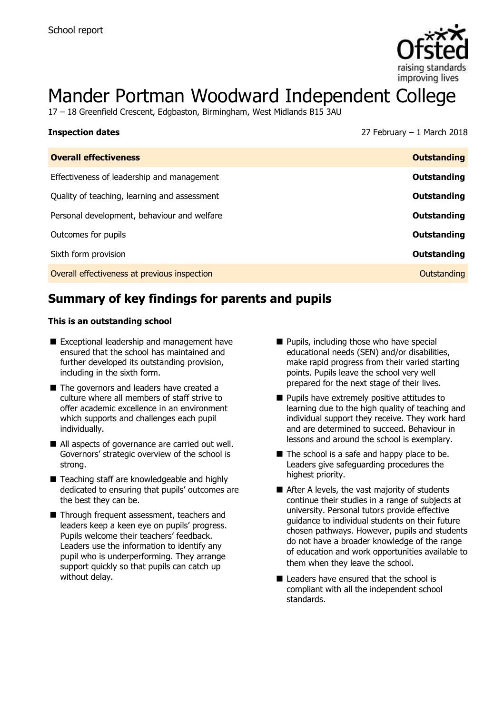

# Mander Portman Woodward Independent College

17 – 18 Greenfield Crescent, Edgbaston, Birmingham, West Midlands B15 3AU

| <b>Inspection dates</b>                      | 27 February $-1$ March 2018 |
|----------------------------------------------|-----------------------------|
| <b>Overall effectiveness</b>                 | <b>Outstanding</b>          |
| Effectiveness of leadership and management   | Outstanding                 |
| Quality of teaching, learning and assessment | Outstanding                 |
| Personal development, behaviour and welfare  | Outstanding                 |
| Outcomes for pupils                          | Outstanding                 |
| Sixth form provision                         | Outstanding                 |
| Overall effectiveness at previous inspection | Outstanding                 |

# **Summary of key findings for parents and pupils**

#### **This is an outstanding school**

- Exceptional leadership and management have ensured that the school has maintained and further developed its outstanding provision, including in the sixth form.
- The governors and leaders have created a culture where all members of staff strive to offer academic excellence in an environment which supports and challenges each pupil individually.
- All aspects of governance are carried out well. Governors' strategic overview of the school is strong.
- Teaching staff are knowledgeable and highly dedicated to ensuring that pupils' outcomes are the best they can be.
- Through frequent assessment, teachers and leaders keep a keen eye on pupils' progress. Pupils welcome their teachers' feedback. Leaders use the information to identify any pupil who is underperforming. They arrange support quickly so that pupils can catch up without delay.
- **Pupils, including those who have special** educational needs (SEN) and/or disabilities, make rapid progress from their varied starting points. Pupils leave the school very well prepared for the next stage of their lives.
- **Pupils have extremely positive attitudes to** learning due to the high quality of teaching and individual support they receive. They work hard and are determined to succeed. Behaviour in lessons and around the school is exemplary.
- $\blacksquare$  The school is a safe and happy place to be. Leaders give safeguarding procedures the highest priority.
- After A levels, the vast majority of students continue their studies in a range of subjects at university. Personal tutors provide effective guidance to individual students on their future chosen pathways. However, pupils and students do not have a broader knowledge of the range of education and work opportunities available to them when they leave the school.
- Leaders have ensured that the school is compliant with all the independent school standards.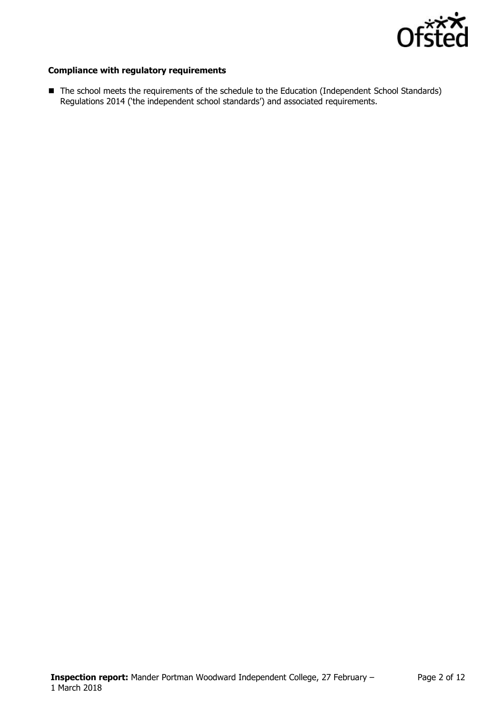

#### **Compliance with regulatory requirements**

The school meets the requirements of the schedule to the Education (Independent School Standards) Regulations 2014 ('the independent school standards') and associated requirements.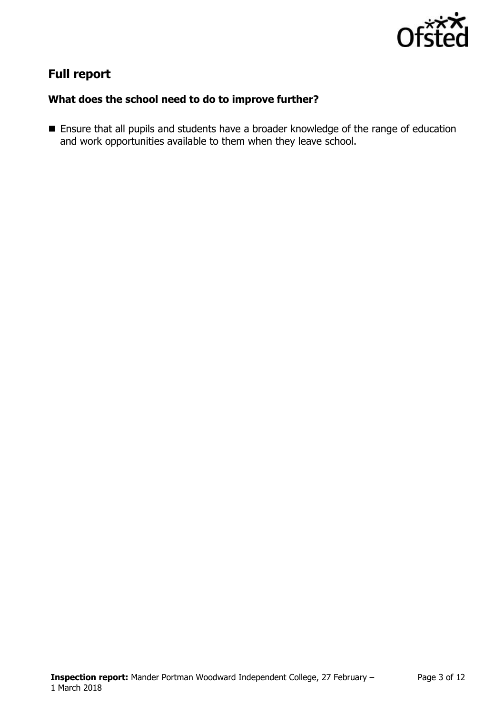

# **Full report**

### **What does the school need to do to improve further?**

**Ensure that all pupils and students have a broader knowledge of the range of education** and work opportunities available to them when they leave school.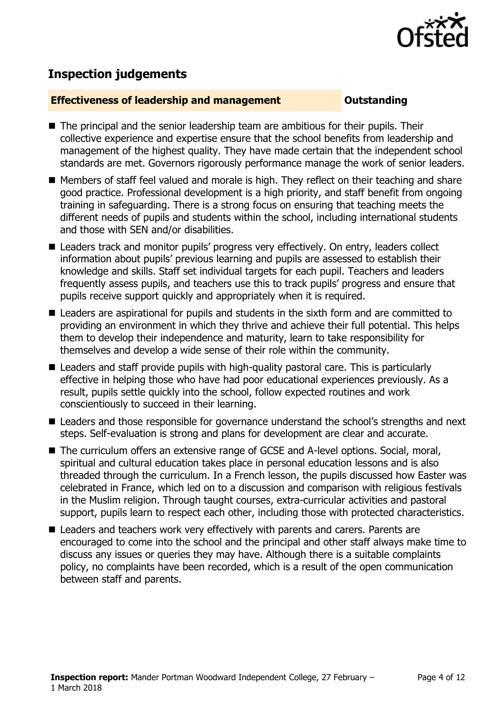

# **Inspection judgements**

#### **Effectiveness of leadership and management COUNGITY COUNTS OUTSTANDING**

- The principal and the senior leadership team are ambitious for their pupils. Their collective experience and expertise ensure that the school benefits from leadership and management of the highest quality. They have made certain that the independent school standards are met. Governors rigorously performance manage the work of senior leaders.
- Members of staff feel valued and morale is high. They reflect on their teaching and share good practice. Professional development is a high priority, and staff benefit from ongoing training in safeguarding. There is a strong focus on ensuring that teaching meets the different needs of pupils and students within the school, including international students and those with SEN and/or disabilities.
- Leaders track and monitor pupils' progress very effectively. On entry, leaders collect information about pupils' previous learning and pupils are assessed to establish their knowledge and skills. Staff set individual targets for each pupil. Teachers and leaders frequently assess pupils, and teachers use this to track pupils' progress and ensure that pupils receive support quickly and appropriately when it is required.
- Leaders are aspirational for pupils and students in the sixth form and are committed to providing an environment in which they thrive and achieve their full potential. This helps them to develop their independence and maturity, learn to take responsibility for themselves and develop a wide sense of their role within the community.
- Leaders and staff provide pupils with high-quality pastoral care. This is particularly effective in helping those who have had poor educational experiences previously. As a result, pupils settle quickly into the school, follow expected routines and work conscientiously to succeed in their learning.
- Leaders and those responsible for governance understand the school's strengths and next steps. Self-evaluation is strong and plans for development are clear and accurate.
- The curriculum offers an extensive range of GCSE and A-level options. Social, moral, spiritual and cultural education takes place in personal education lessons and is also threaded through the curriculum. In a French lesson, the pupils discussed how Easter was celebrated in France, which led on to a discussion and comparison with religious festivals in the Muslim religion. Through taught courses, extra-curricular activities and pastoral support, pupils learn to respect each other, including those with protected characteristics.
- Leaders and teachers work very effectively with parents and carers. Parents are encouraged to come into the school and the principal and other staff always make time to discuss any issues or queries they may have. Although there is a suitable complaints policy, no complaints have been recorded, which is a result of the open communication between staff and parents.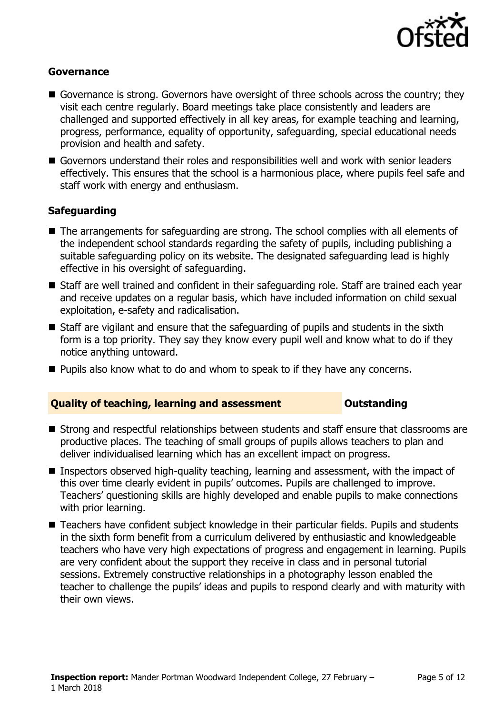

#### **Governance**

- Governance is strong. Governors have oversight of three schools across the country; they visit each centre regularly. Board meetings take place consistently and leaders are challenged and supported effectively in all key areas, for example teaching and learning, progress, performance, equality of opportunity, safeguarding, special educational needs provision and health and safety.
- Governors understand their roles and responsibilities well and work with senior leaders effectively. This ensures that the school is a harmonious place, where pupils feel safe and staff work with energy and enthusiasm.

### **Safeguarding**

- The arrangements for safeguarding are strong. The school complies with all elements of the independent school standards regarding the safety of pupils, including publishing a suitable safeguarding policy on its website. The designated safeguarding lead is highly effective in his oversight of safeguarding.
- Staff are well trained and confident in their safeguarding role. Staff are trained each year and receive updates on a regular basis, which have included information on child sexual exploitation, e-safety and radicalisation.
- Staff are vigilant and ensure that the safeguarding of pupils and students in the sixth form is a top priority. They say they know every pupil well and know what to do if they notice anything untoward.
- **Pupils also know what to do and whom to speak to if they have any concerns.**

#### **Quality of teaching, learning and assessment <b>COUNG COUNTS COUNTS AND** Outstanding

- Strong and respectful relationships between students and staff ensure that classrooms are productive places. The teaching of small groups of pupils allows teachers to plan and deliver individualised learning which has an excellent impact on progress.
- **Inspectors observed high-quality teaching, learning and assessment, with the impact of** this over time clearly evident in pupils' outcomes. Pupils are challenged to improve. Teachers' questioning skills are highly developed and enable pupils to make connections with prior learning.
- Teachers have confident subject knowledge in their particular fields. Pupils and students in the sixth form benefit from a curriculum delivered by enthusiastic and knowledgeable teachers who have very high expectations of progress and engagement in learning. Pupils are very confident about the support they receive in class and in personal tutorial sessions. Extremely constructive relationships in a photography lesson enabled the teacher to challenge the pupils' ideas and pupils to respond clearly and with maturity with their own views.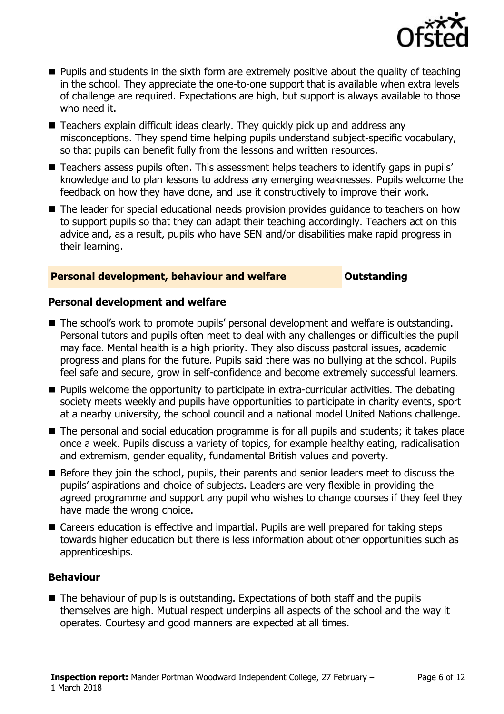

- **Pupils and students in the sixth form are extremely positive about the quality of teaching** in the school. They appreciate the one-to-one support that is available when extra levels of challenge are required. Expectations are high, but support is always available to those who need it.
- Teachers explain difficult ideas clearly. They quickly pick up and address any misconceptions. They spend time helping pupils understand subject-specific vocabulary, so that pupils can benefit fully from the lessons and written resources.
- Teachers assess pupils often. This assessment helps teachers to identify gaps in pupils' knowledge and to plan lessons to address any emerging weaknesses. Pupils welcome the feedback on how they have done, and use it constructively to improve their work.
- The leader for special educational needs provision provides quidance to teachers on how to support pupils so that they can adapt their teaching accordingly. Teachers act on this advice and, as a result, pupils who have SEN and/or disabilities make rapid progress in their learning.

#### **Personal development, behaviour and welfare <b>COU COULDER** Outstanding

#### **Personal development and welfare**

- The school's work to promote pupils' personal development and welfare is outstanding. Personal tutors and pupils often meet to deal with any challenges or difficulties the pupil may face. Mental health is a high priority. They also discuss pastoral issues, academic progress and plans for the future. Pupils said there was no bullying at the school. Pupils feel safe and secure, grow in self-confidence and become extremely successful learners.
- **Pupils welcome the opportunity to participate in extra-curricular activities. The debating** society meets weekly and pupils have opportunities to participate in charity events, sport at a nearby university, the school council and a national model United Nations challenge.
- The personal and social education programme is for all pupils and students; it takes place once a week. Pupils discuss a variety of topics, for example healthy eating, radicalisation and extremism, gender equality, fundamental British values and poverty.
- Before they join the school, pupils, their parents and senior leaders meet to discuss the pupils' aspirations and choice of subjects. Leaders are very flexible in providing the agreed programme and support any pupil who wishes to change courses if they feel they have made the wrong choice.
- Careers education is effective and impartial. Pupils are well prepared for taking steps towards higher education but there is less information about other opportunities such as apprenticeships.

#### **Behaviour**

■ The behaviour of pupils is outstanding. Expectations of both staff and the pupils themselves are high. Mutual respect underpins all aspects of the school and the way it operates. Courtesy and good manners are expected at all times.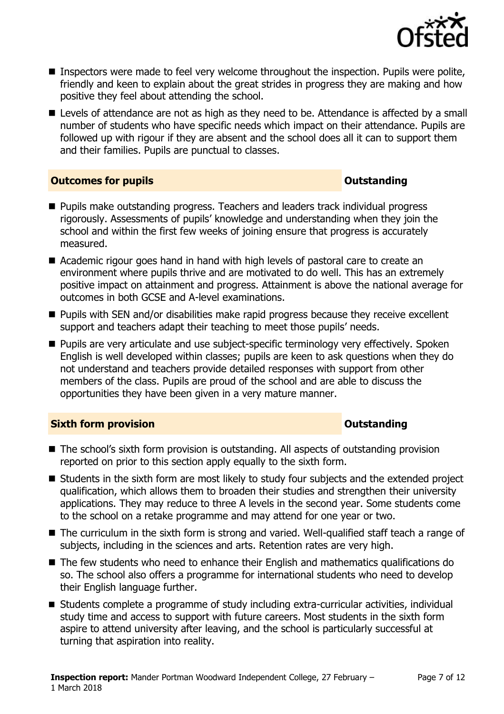

- **Inspectors were made to feel very welcome throughout the inspection. Pupils were polite,** friendly and keen to explain about the great strides in progress they are making and how positive they feel about attending the school.
- Levels of attendance are not as high as they need to be. Attendance is affected by a small number of students who have specific needs which impact on their attendance. Pupils are followed up with rigour if they are absent and the school does all it can to support them and their families. Pupils are punctual to classes.

#### **Outcomes for pupils Outstanding**

- **Pupils make outstanding progress. Teachers and leaders track individual progress** rigorously. Assessments of pupils' knowledge and understanding when they join the school and within the first few weeks of joining ensure that progress is accurately measured.
- Academic rigour goes hand in hand with high levels of pastoral care to create an environment where pupils thrive and are motivated to do well. This has an extremely positive impact on attainment and progress. Attainment is above the national average for outcomes in both GCSE and A-level examinations.
- **Pupils with SEN and/or disabilities make rapid progress because they receive excellent** support and teachers adapt their teaching to meet those pupils' needs.
- **Pupils are very articulate and use subject-specific terminology very effectively. Spoken** English is well developed within classes; pupils are keen to ask questions when they do not understand and teachers provide detailed responses with support from other members of the class. Pupils are proud of the school and are able to discuss the opportunities they have been given in a very mature manner.

### **Sixth form provision CONSISTER SIXTERS IN A SIXTER SIXTER SIXTER SIXTERS IN A SIXTER SIXTER SIXTERS IN A SIXTER**

- The school's sixth form provision is outstanding. All aspects of outstanding provision reported on prior to this section apply equally to the sixth form.
- Students in the sixth form are most likely to study four subjects and the extended project qualification, which allows them to broaden their studies and strengthen their university applications. They may reduce to three A levels in the second year. Some students come to the school on a retake programme and may attend for one year or two.
- The curriculum in the sixth form is strong and varied. Well-qualified staff teach a range of subjects, including in the sciences and arts. Retention rates are very high.
- The few students who need to enhance their English and mathematics qualifications do so. The school also offers a programme for international students who need to develop their English language further.
- Students complete a programme of study including extra-curricular activities, individual study time and access to support with future careers. Most students in the sixth form aspire to attend university after leaving, and the school is particularly successful at turning that aspiration into reality.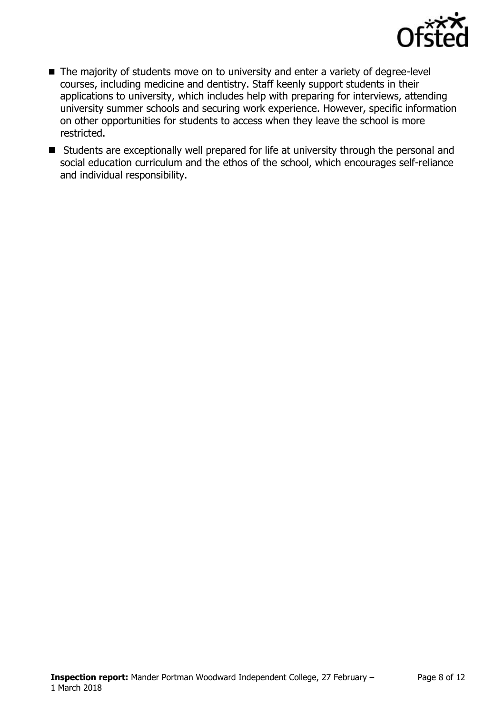

- The majority of students move on to university and enter a variety of degree-level courses, including medicine and dentistry. Staff keenly support students in their applications to university, which includes help with preparing for interviews, attending university summer schools and securing work experience. However, specific information on other opportunities for students to access when they leave the school is more restricted.
- Students are exceptionally well prepared for life at university through the personal and social education curriculum and the ethos of the school, which encourages self-reliance and individual responsibility.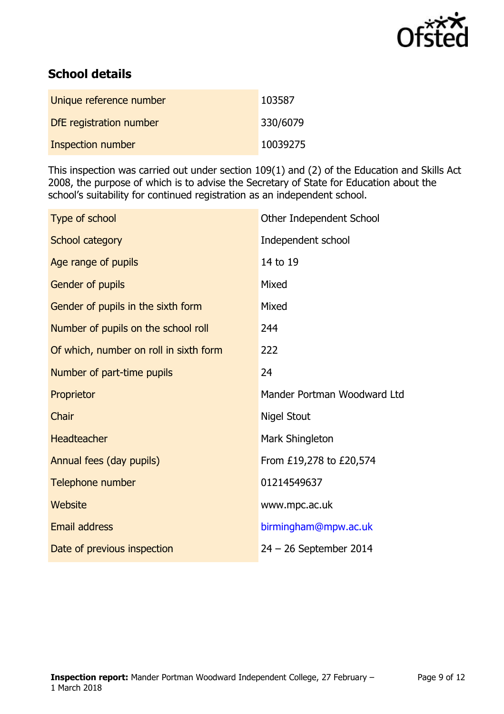

# **School details**

| Unique reference number | 103587   |
|-------------------------|----------|
| DfE registration number | 330/6079 |
| Inspection number       | 10039275 |

This inspection was carried out under section 109(1) and (2) of the Education and Skills Act 2008, the purpose of which is to advise the Secretary of State for Education about the school's suitability for continued registration as an independent school.

| Type of school                         | Other Independent School    |
|----------------------------------------|-----------------------------|
| School category                        | Independent school          |
| Age range of pupils                    | 14 to 19                    |
| Gender of pupils                       | Mixed                       |
| Gender of pupils in the sixth form     | Mixed                       |
| Number of pupils on the school roll    | 244                         |
| Of which, number on roll in sixth form | 222                         |
| Number of part-time pupils             | 24                          |
| Proprietor                             | Mander Portman Woodward Ltd |
| Chair                                  | <b>Nigel Stout</b>          |
| Headteacher                            | Mark Shingleton             |
| Annual fees (day pupils)               | From £19,278 to £20,574     |
| Telephone number                       | 01214549637                 |
| Website                                | www.mpc.ac.uk               |
| <b>Email address</b>                   | birmingham@mpw.ac.uk        |
| Date of previous inspection            | $24 - 26$ September 2014    |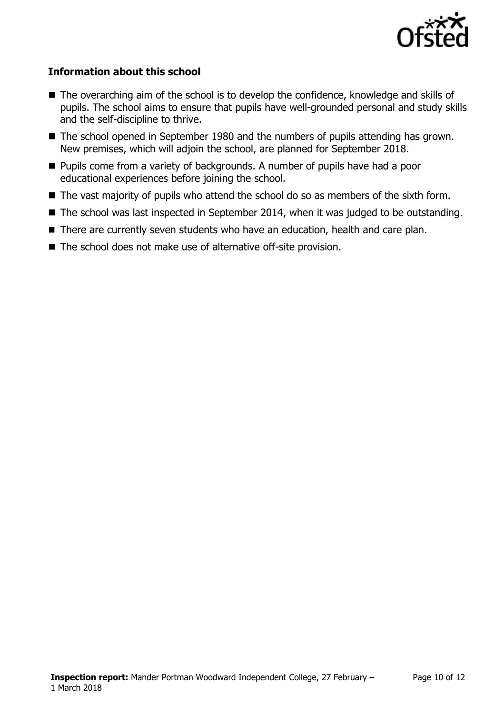

### **Information about this school**

- The overarching aim of the school is to develop the confidence, knowledge and skills of pupils. The school aims to ensure that pupils have well-grounded personal and study skills and the self-discipline to thrive.
- The school opened in September 1980 and the numbers of pupils attending has grown. New premises, which will adjoin the school, are planned for September 2018.
- **Pupils come from a variety of backgrounds. A number of pupils have had a poor** educational experiences before joining the school.
- The vast majority of pupils who attend the school do so as members of the sixth form.
- The school was last inspected in September 2014, when it was judged to be outstanding.
- There are currently seven students who have an education, health and care plan.
- The school does not make use of alternative off-site provision.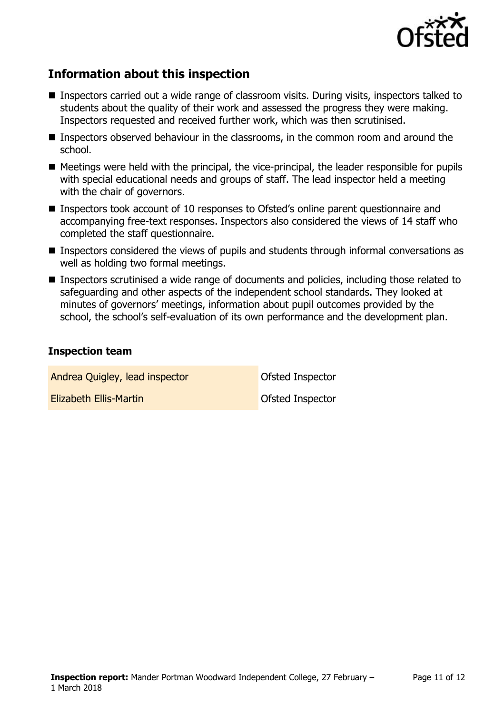

# **Information about this inspection**

- Inspectors carried out a wide range of classroom visits. During visits, inspectors talked to students about the quality of their work and assessed the progress they were making. Inspectors requested and received further work, which was then scrutinised.
- Inspectors observed behaviour in the classrooms, in the common room and around the school.
- Meetings were held with the principal, the vice-principal, the leader responsible for pupils with special educational needs and groups of staff. The lead inspector held a meeting with the chair of governors.
- Inspectors took account of 10 responses to Ofsted's online parent questionnaire and accompanying free-text responses. Inspectors also considered the views of 14 staff who completed the staff questionnaire.
- **Inspectors considered the views of pupils and students through informal conversations as** well as holding two formal meetings.
- Inspectors scrutinised a wide range of documents and policies, including those related to safeguarding and other aspects of the independent school standards. They looked at minutes of governors' meetings, information about pupil outcomes provided by the school, the school's self-evaluation of its own performance and the development plan.

#### **Inspection team**

Andrea Quigley, lead inspector **Container Container Container Container** Ofsted Inspector

**Elizabeth Ellis-Martin Club Construction Construction Construction Construction Construction Construction Construction Construction Construction Construction Construction Construction Construction Construction Constructio**